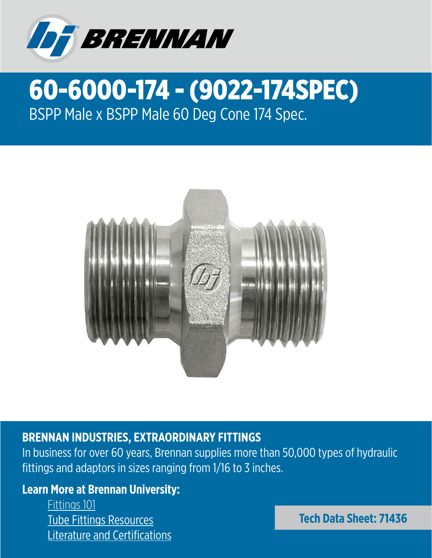

## 60-6000-174 - (9022-174SPEC) BSPP Male x BSPP Male 60 Deg Cone 174 Spec.



## **BRENNAN INDUSTRIES, EXTRAORDINARY FITTINGS**

In business for over 60 years, Brennan supplies more than 50,000 types of hydraulic fittings and adaptors in sizes ranging from 1/16 to 3 inches.

## **Learn More at Brennan University:**

[Fittings 101](https://brennaninc.com/brennan-university-old/fitting-identification-introduction/) [Tube Fittings Resources](https://brennaninc.com/essential-tube-fittings-content/) [Literature and Certifications](https://brennaninc.com/literature/)

**Tech Data Sheet: 71436**